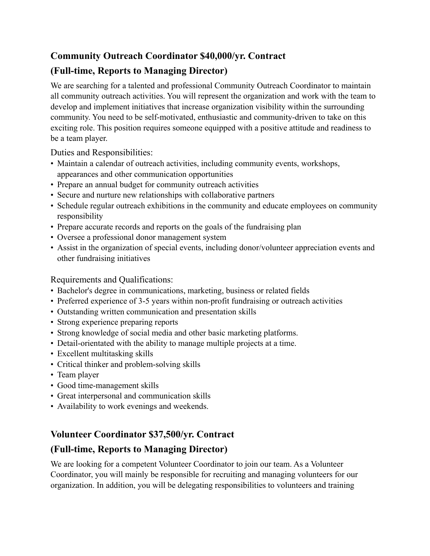# **Community Outreach Coordinator \$40,000/yr. Contract**

# **(Full-time, Reports to Managing Director)**

We are searching for a talented and professional Community Outreach Coordinator to maintain all community outreach activities. You will represent the organization and work with the team to develop and implement initiatives that increase organization visibility within the surrounding community. You need to be self-motivated, enthusiastic and community-driven to take on this exciting role. This position requires someone equipped with a positive attitude and readiness to be a team player.

Duties and Responsibilities:

- Maintain a calendar of outreach activities, including community events, workshops, appearances and other communication opportunities
- Prepare an annual budget for community outreach activities
- Secure and nurture new relationships with collaborative partners
- Schedule regular outreach exhibitions in the community and educate employees on community responsibility
- Prepare accurate records and reports on the goals of the fundraising plan
- Oversee a professional donor management system
- Assist in the organization of special events, including donor/volunteer appreciation events and other fundraising initiatives

Requirements and Qualifications:

- Bachelor's degree in communications, marketing, business or related fields
- Preferred experience of 3-5 years within non-profit fundraising or outreach activities
- Outstanding written communication and presentation skills
- Strong experience preparing reports
- Strong knowledge of social media and other basic marketing platforms.
- Detail-orientated with the ability to manage multiple projects at a time.
- Excellent multitasking skills
- Critical thinker and problem-solving skills
- Team player
- Good time-management skills
- Great interpersonal and communication skills
- Availability to work evenings and weekends.

# **Volunteer Coordinator \$37,500/yr. Contract**

# **(Full-time, Reports to Managing Director)**

We are looking for a competent Volunteer Coordinator to join our team. As a Volunteer Coordinator, you will mainly be responsible for recruiting and managing volunteers for our organization. In addition, you will be delegating responsibilities to volunteers and training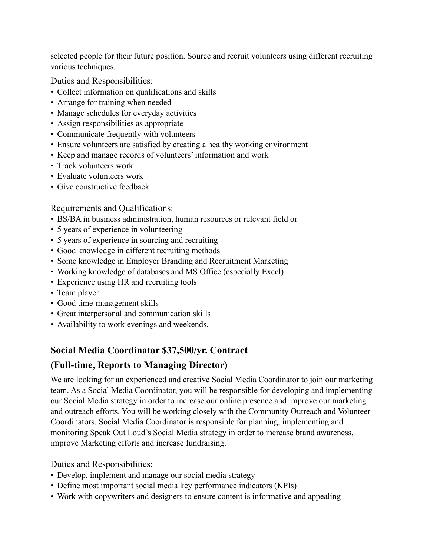selected people for their future position. Source and recruit volunteers using different recruiting various techniques.

Duties and Responsibilities:

- Collect information on qualifications and skills
- Arrange for training when needed
- Manage schedules for everyday activities
- Assign responsibilities as appropriate
- Communicate frequently with volunteers
- Ensure volunteers are satisfied by creating a healthy working environment
- Keep and manage records of volunteers' information and work
- Track volunteers work
- Evaluate volunteers work
- Give constructive feedback

Requirements and Qualifications:

- BS/BA in business administration, human resources or relevant field or
- 5 years of experience in volunteering
- 5 years of experience in sourcing and recruiting
- Good knowledge in different recruiting methods
- Some knowledge in Employer Branding and Recruitment Marketing
- Working knowledge of databases and MS Office (especially Excel)
- Experience using HR and recruiting tools
- Team player
- Good time-management skills
- Great interpersonal and communication skills
- Availability to work evenings and weekends.

# **Social Media Coordinator \$37,500/yr. Contract**

### **(Full-time, Reports to Managing Director)**

We are looking for an experienced and creative Social Media Coordinator to join our marketing team. As a Social Media Coordinator, you will be responsible for developing and implementing our Social Media strategy in order to increase our online presence and improve our marketing and outreach efforts. You will be working closely with the Community Outreach and Volunteer Coordinators. Social Media Coordinator is responsible for planning, implementing and monitoring Speak Out Loud's Social Media strategy in order to increase brand awareness, improve Marketing efforts and increase fundraising.

Duties and Responsibilities:

- Develop, implement and manage our social media strategy
- Define most important social media key performance indicators (KPIs)
- Work with copywriters and designers to ensure content is informative and appealing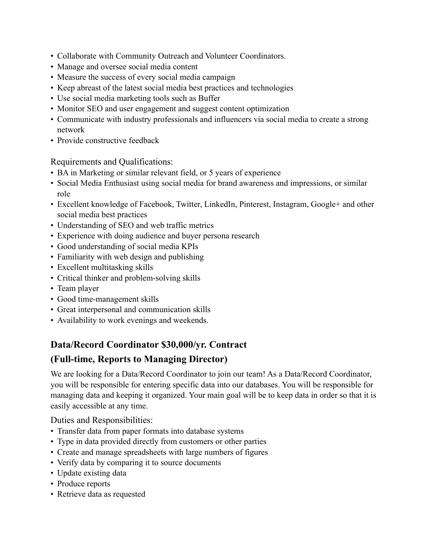- Collaborate with Community Outreach and Volunteer Coordinators.
- Manage and oversee social media content
- Measure the success of every social media campaign
- Keep abreast of the latest social media best practices and technologies
- Use social media marketing tools such as Buffer
- Monitor SEO and user engagement and suggest content optimization
- Communicate with industry professionals and influencers via social media to create a strong network
- Provide constructive feedback

Requirements and Qualifications:

- BA in Marketing or similar relevant field, or 5 years of experience
- Social Media Enthusiast using social media for brand awareness and impressions, or similar role
- Excellent knowledge of Facebook, Twitter, LinkedIn, Pinterest, Instagram, Google+ and other social media best practices
- Understanding of SEO and web traffic metrics
- Experience with doing audience and buyer persona research
- Good understanding of social media KPIs
- Familiarity with web design and publishing
- Excellent multitasking skills
- Critical thinker and problem-solving skills
- Team player
- Good time-management skills
- Great interpersonal and communication skills
- Availability to work evenings and weekends.

# **Data/Record Coordinator \$30,000/yr. Contract**

# **(Full-time, Reports to Managing Director)**

We are looking for a Data/Record Coordinator to join our team! As a Data/Record Coordinator, you will be responsible for entering specific data into our databases. You will be responsible for managing data and keeping it organized. Your main goal will be to keep data in order so that it is easily accessible at any time.

Duties and Responsibilities:

- Transfer data from paper formats into database systems
- Type in data provided directly from customers or other parties
- Create and manage spreadsheets with large numbers of figures
- Verify data by comparing it to source documents
- Update existing data
- Produce reports
- Retrieve data as requested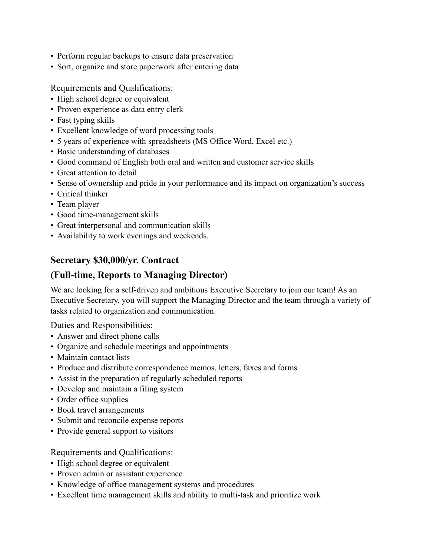- Perform regular backups to ensure data preservation
- Sort, organize and store paperwork after entering data

#### Requirements and Qualifications:

- High school degree or equivalent
- Proven experience as data entry clerk
- Fast typing skills
- Excellent knowledge of word processing tools
- 5 years of experience with spreadsheets (MS Office Word, Excel etc.)
- Basic understanding of databases
- Good command of English both oral and written and customer service skills
- Great attention to detail
- Sense of ownership and pride in your performance and its impact on organization's success
- Critical thinker
- Team player
- Good time-management skills
- Great interpersonal and communication skills
- Availability to work evenings and weekends.

### **Secretary \$30,000/yr. Contract**

### **(Full-time, Reports to Managing Director)**

We are looking for a self-driven and ambitious Executive Secretary to join our team! As an Executive Secretary, you will support the Managing Director and the team through a variety of tasks related to organization and communication.

Duties and Responsibilities:

- Answer and direct phone calls
- Organize and schedule meetings and appointments
- Maintain contact lists
- Produce and distribute correspondence memos, letters, faxes and forms
- Assist in the preparation of regularly scheduled reports
- Develop and maintain a filing system
- Order office supplies
- Book travel arrangements
- Submit and reconcile expense reports
- Provide general support to visitors

#### Requirements and Qualifications:

- High school degree or equivalent
- Proven admin or assistant experience
- Knowledge of office management systems and procedures
- Excellent time management skills and ability to multi-task and prioritize work